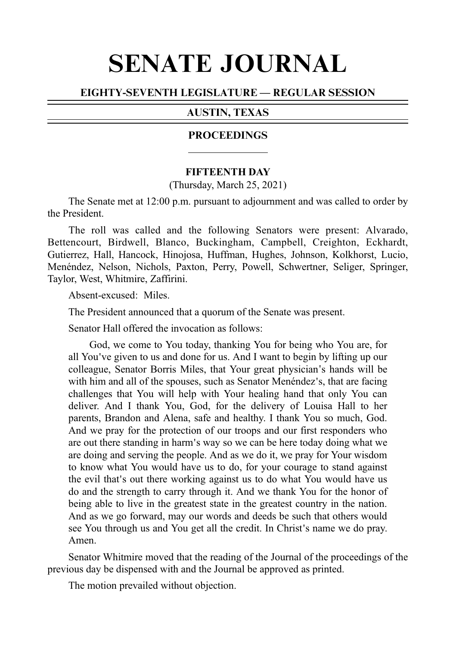# SENATE JOURNAL

# EIGHTY-SEVENTH LEGISLATURE — REGULAR SESSION

# AUSTIN, TEXAS

#### **PROCEEDINGS**

#### **FIFTEENTH DAY**

(Thursday, March 25, 2021)

The Senate met at 12:00 p.m. pursuant to adjournment and was called to order by the President.

The roll was called and the following Senators were present: Alvarado, Bettencourt, Birdwell, Blanco, Buckingham, Campbell, Creighton, Eckhardt, Gutierrez, Hall, Hancock, Hinojosa, Huffman, Hughes, Johnson, Kolkhorst, Lucio, Menéndez, Nelson, Nichols, Paxton, Perry, Powell, Schwertner, Seliger, Springer, Taylor, West, Whitmire, Zaffirini.

 $Absent-excused:Miles$ 

The President announced that a quorum of the Senate was present.

Senator Hall offered the invocation as follows:

God, we come to You today, thanking You for being who You are, for all You ve given to us and done for us. And I want to begin by lifting up our ' colleague, Senator Borris Miles, that Your great physician's hands will be with him and all of the spouses, such as Senator Menéndez's, that are facing challenges that You will help with Your healing hand that only You can deliver. And I thank You, God, for the delivery of Louisa Hall to her parents, Brandon and Alena, safe and healthy. I thank You so much, God. And we pray for the protection of our troops and our first responders who are out there standing in harm's way so we can be here today doing what we are doing and serving the people. And as we do it, we pray for Your wisdom to know what You would have us to do, for your courage to stand against the evil that's out there working against us to do what You would have us do and the strength to carry through it. And we thank You for the honor of being able to live in the greatest state in the greatest country in the nation. And as we go forward, may our words and deeds be such that others would see You through us and You get all the credit. In Christ's name we do pray. Amen.

Senator Whitmire moved that the reading of the Journal of the proceedings of the previous day be dispensed with and the Journal be approved as printed.

The motion prevailed without objection.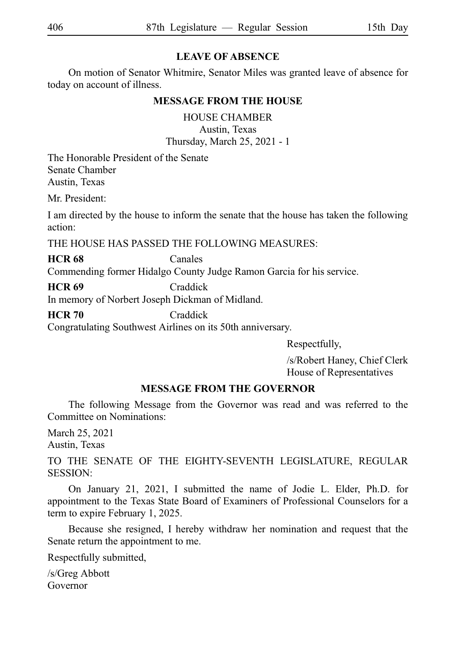# **LEAVE OF ABSENCE**

On motion of Senator Whitmire, Senator Miles was granted leave of absence for today on account of illness.

# **MESSAGE FROM THE HOUSE**

HOUSE CHAMBER

Austin, Texas Thursday, March 25, 2021 - 1

The Honorable President of the Senate Senate Chamber Austin, Texas

Mr. President:

I am directed by the house to inform the senate that the house has taken the following action:

THE HOUSE HAS PASSED THE FOLLOWING MEASURES:

**HCR 68** Canales

Commending former Hidalgo County Judge Ramon Garcia for his service.

**HCR 69** Craddick In memory of Norbert Joseph Dickman of Midland.

**HCR 70** Craddick

Congratulating Southwest Airlines on its 50th anniversary.

Respectfully,

/s/Robert Haney, Chief Clerk House of Representatives

# **MESSAGE FROM THE GOVERNOR**

The following Message from the Governor was read and was referred to the Committee on Nominations:

March 25, 2021 Austin, Texas

TO THE SENATE OF THE EIGHTY-SEVENTH LEGISLATURE, REGULAR SESSION:

On January 21, 2021, I submitted the name of Jodie L. Elder, Ph.D. for appointment to the Texas State Board of Examiners of Professional Counselors for a term to expire February 1, 2025.

Because she resigned, I hereby withdraw her nomination and request that the Senate return the appointment to me.

Respectfully submitted,

/s/Greg Abbott Governor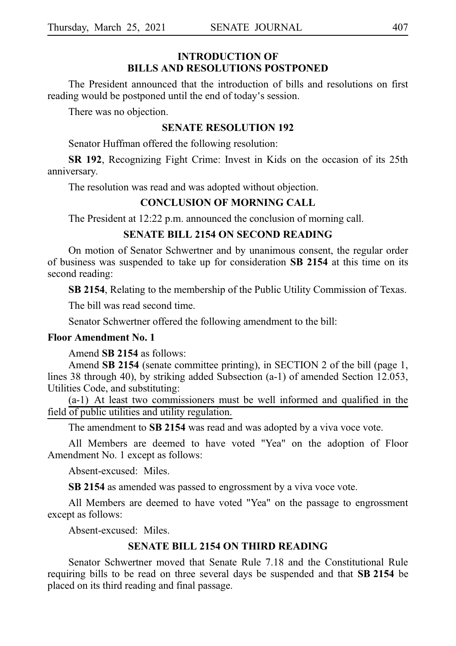# **INTRODUCTION OF BILLS AND RESOLUTIONS POSTPONED**

The President announced that the introduction of bills and resolutions on first reading would be postponed until the end of today's session.

There was no objection.

#### **SENATE RESOLUTION 192**

Senator Huffman offered the following resolution:

**SR 192**, Recognizing Fight Crime: Invest in Kids on the occasion of its 25th anniversary.

The resolution was read and was adopted without objection.

#### **CONCLUSION OF MORNING CALL**

The President at 12:22 p.m. announced the conclusion of morning call.

### **SENATE BILL 2154 ON SECOND READING**

On motion of Senator Schwertner and by unanimous consent, the regular order of business was suspended to take up for consideration **SB 2154** at this time on its second reading:

**SB 2154**, Relating to the membership of the Public Utility Commission of Texas.

The bill was read second time.

Senator Schwertner offered the following amendment to the bill:

#### **Floor Amendment No. 1**

Amend **SB 2154** as follows:

Amend **SB 2154** (senate committee printing), in SECTION 2 of the bill (page 1, lines 38 through 40), by striking added Subsection (a-1) of amended Section 12.053, Utilities Code, and substituting:

 $(a-1)$  At least two commissioners must be well informed and qualified in the field of public utilities and utility regulation.

The amendment to **SB 2154** was read and was adopted by a viva voce vote.

All Members are deemed to have voted "Yea" on the adoption of Floor Amendment No. 1 except as follows:

Absent-excused: Miles.

**SB 2154** as amended was passed to engrossment by a viva voce vote.

All Members are deemed to have voted "Yea" on the passage to engrossment except as follows:

Absent-excused: Miles.

#### **SENATE BILL 2154 ON THIRD READING**

Senator Schwertner moved that Senate Rule 7.18 and the Constitutional Rule requiring bills to be read on three several days be suspended and that SB 2154 be placed on its third reading and final passage.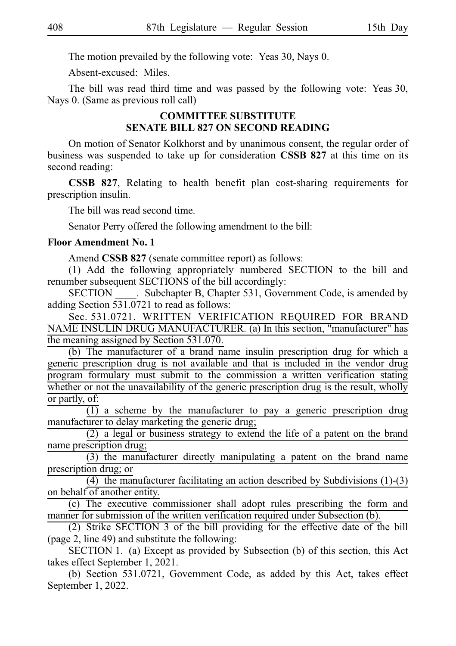The motion prevailed by the following vote: Yeas 30, Nays 0.

Absent-excused: Miles.

The bill was read third time and was passed by the following vote: Yeas 30, Nays 0. (Same as previous roll call)

# **COMMITTEE SUBSTITUTE SENATE BILL 827 ON SECOND READING**

On motion of Senator Kolkhorst and by unanimous consent, the regular order of business was suspended to take up for consideration **CSSB 827** at this time on its second reading:

**CSSB 827**, Relating to health benefit plan cost-sharing requirements for prescription insulin.

The bill was read second time.

Senator Perry offered the following amendment to the bill:

#### **Floor Amendment No. 1**

Amend **CSSB 827** (senate committee report) as follows:

(1) Add the following appropriately numbered SECTION to the bill and renumber subsequent SECTIONS of the bill accordingly:

SECTION Subchapter B, Chapter 531, Government Code, is amended by adding Section 531.0721 to read as follows:

Sec. 531.0721. WRITTEN VERIFICATION REQUIRED FOR BRAND NAME INSULIN DRUG MANUFACTURER. (a) In this section, "manufacturer" has the meaning assigned by Section 531.070.

(b) The manufacturer of a brand name insulin prescription drug for which a generic prescription drug is not available and that is included in the vendor drug program formulary must submit to the commission a written verification stating whether or not the unavailability of the generic prescription drug is the result, wholly or partly, of:

 $\overline{(1)}$  a scheme by the manufacturer to pay a generic prescription drug manufacturer to delay marketing the generic drug;

 $(2)$  a legal or business strategy to extend the life of a patent on the brand name prescription drug;

 $(3)$  the manufacturer directly manipulating a patent on the brand name prescription drug; or

(4) the manufacturer facilitating an action described by Subdivisions  $(1)-(3)$ on behalf of another entity.

(c) The executive commissioner shall adopt rules prescribing the form and manner for submission of the written verification required under Subsection (b).

 $(2)$  Strike SECTION 3 of the bill providing for the effective date of the bill (page 2, line 49) and substitute the following:

SECTION 1. (a) Except as provided by Subsection (b) of this section, this Act takes effect September 1, 2021.

(b) Section 531.0721, Government Code, as added by this Act, takes effect September 1, 2022.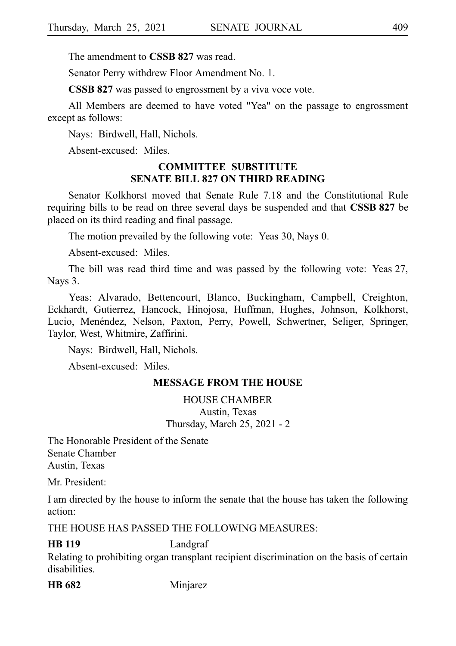The amendment to **CSSB 827** was read.

Senator Perry withdrew Floor Amendment No. 1.

**CSSB 827** was passed to engrossment by a viva voce vote.

All Members are deemed to have voted "Yea" on the passage to engrossment except as follows:

Nays: Birdwell, Hall, Nichols.

Absent-excused: Miles.

## **COMMITTEE SUBSTITUTE SENATE BILL 827 ON THIRD READING**

Senator Kolkhorst moved that Senate Rule 7.18 and the Constitutional Rule requiring bills to be read on three several days be suspended and that **CSSB 827** be placed on its third reading and final passage.

The motion prevailed by the following vote: Yeas 30, Nays 0.

Absent-excused: Miles.

The bill was read third time and was passed by the following vote: Yeas 27, Nays 3.

Yeas: Alvarado, Bettencourt, Blanco, Buckingham, Campbell, Creighton, Eckhardt, Gutierrez, Hancock, Hinojosa, Huffman, Hughes, Johnson, Kolkhorst, Lucio, Menéndez, Nelson, Paxton, Perry, Powell, Schwertner, Seliger, Springer, Taylor, West, Whitmire, Zaffirini.

Nays: Birdwell, Hall, Nichols.

Absent-excused: Miles.

# **MESSAGE FROM THE HOUSE**

HOUSE CHAMBER Austin, Texas Thursday, March 25, 2021 - 2

The Honorable President of the Senate Senate Chamber Austin, Texas

Mr. President:

I am directed by the house to inform the senate that the house has taken the following action:

THE HOUSE HAS PASSED THE FOLLOWING MEASURES:

# **HB 119** Landgraf

Relating to prohibiting organ transplant recipient discrimination on the basis of certain disabilities.

**HB 682** Minjarez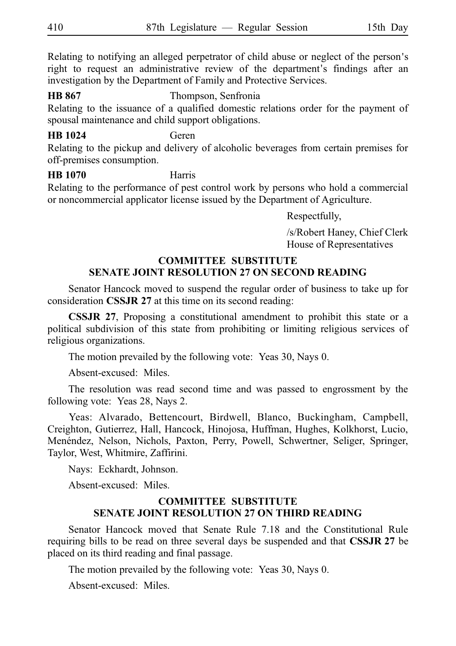Relating to notifying an alleged perpetrator of child abuse or neglect of the person's right to request an administrative review of the department's findings after an investigation by the Department of Family and Protective Services.

**HB 867** Thompson, Senfronia Relating to the issuance of a qualified domestic relations order for the payment of spousal maintenance and child support obligations.

**HB 1024** Geren

Relating to the pickup and delivery of alcoholic beverages from certain premises for off-premises consumption.

**HB 1070** Harris Relating to the performance of pest control work by persons who hold a commercial or noncommercial applicator license issued by the Department of Agriculture.

Respectfully,

/s/Robert Haney, Chief Clerk House of Representatives

# **COMMITTEE SUBSTITUTE SENATE JOINT RESOLUTION 27 ON SECOND READING**

Senator Hancock moved to suspend the regular order of business to take up for consideration **CSSJR 27** at this time on its second reading:

**CSSJR 27**, Proposing a constitutional amendment to prohibit this state or a political subdivision of this state from prohibiting or limiting religious services of religious organizations.

The motion prevailed by the following vote: Yeas 30, Nays 0.

Absent-excused: Miles.

The resolution was read second time and was passed to engrossment by the following vote: Yeas 28, Nays 2.

Yeas: Alvarado, Bettencourt, Birdwell, Blanco, Buckingham, Campbell, Creighton, Gutierrez, Hall, Hancock, Hinojosa, Huffman, Hughes, Kolkhorst, Lucio, Menéndez, Nelson, Nichols, Paxton, Perry, Powell, Schwertner, Seliger, Springer, Taylor, West, Whitmire, Zaffirini.

Nays: Eckhardt, Johnson.

Absent-excused: Miles.

# **COMMITTEE SUBSTITUTE SENATE JOINT RESOLUTION 27 ON THIRD READING**

Senator Hancock moved that Senate Rule 7.18 and the Constitutional Rule requiring bills to be read on three several days be suspended and that **CSSJR 27** be placed on its third reading and final passage.

The motion prevailed by the following vote: Yeas 30, Nays 0.

Absent-excused: Miles.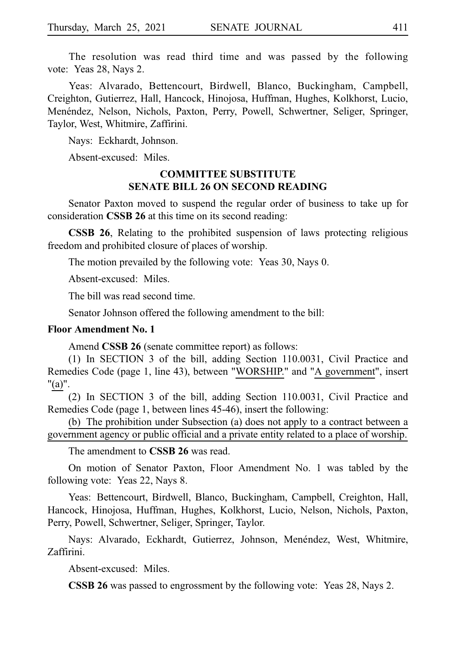The resolution was read third time and was passed by the following vote: Yeas 28, Nays 2.

Yeas: Alvarado, Bettencourt, Birdwell, Blanco, Buckingham, Campbell, Creighton, Gutierrez, Hall, Hancock, Hinojosa, Huffman, Hughes, Kolkhorst, Lucio, Menéndez, Nelson, Nichols, Paxton, Perry, Powell, Schwertner, Seliger, Springer, Taylor, West, Whitmire, Zaffirini.

Nays: Eckhardt, Johnson.

Absent-excused: Miles.

# **COMMITTEE SUBSTITUTE SENATE BILL 26 ON SECOND READING**

Senator Paxton moved to suspend the regular order of business to take up for consideration **CSSB 26** at this time on its second reading:

**CSSB 26**, Relating to the prohibited suspension of laws protecting religious freedom and prohibited closure of places of worship.

The motion prevailed by the following vote: Yeas 30, Nays 0.

Absent-excused: Miles.

The bill was read second time.

Senator Johnson offered the following amendment to the bill:

#### **Floor Amendment No. 1**

Amend **CSSB 26** (senate committee report) as follows:

 $(1)$  In SECTION 3 of the bill, adding Section 110.0031, Civil Practice and Remedies Code (page 1, line 43), between "WORSHIP." and "A government", insert "(a)".

 $(2)$  In SECTION 3 of the bill, adding Section 110.0031, Civil Practice and Remedies Code (page 1, between lines 45-46), insert the following:

(b) The prohibition under Subsection (a) does not apply to a contract between a government agency or public official and a private entity related to a place of worship.

The amendment to **CSSB 26** was read.

On motion of Senator Paxton, Floor Amendment No. 1 was tabled by the following vote: Yeas 22, Nays 8.

Yeas: Bettencourt, Birdwell, Blanco, Buckingham, Campbell, Creighton, Hall, Hancock, Hinojosa, Huffman, Hughes, Kolkhorst, Lucio, Nelson, Nichols, Paxton, Perry, Powell, Schwertner, Seliger, Springer, Taylor.

Nays: Alvarado, Eckhardt, Gutierrez, Johnson, Menéndez, West, Whitmire, Zaffirini.

Absent-excused: Miles.

**CSSB 26** was passed to engrossment by the following vote: Yeas 28, Nays 2.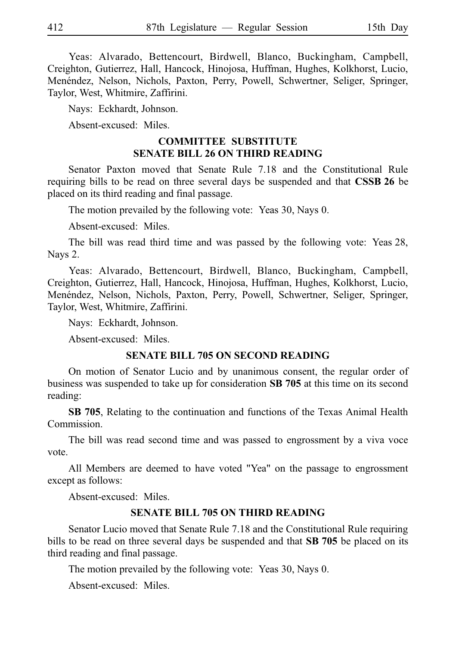Yeas: Alvarado, Bettencourt, Birdwell, Blanco, Buckingham, Campbell, Creighton, Gutierrez, Hall, Hancock, Hinojosa, Huffman, Hughes, Kolkhorst, Lucio, Menéndez, Nelson, Nichols, Paxton, Perry, Powell, Schwertner, Seliger, Springer, Taylor, West, Whitmire, Zaffirini.

Nays: Eckhardt, Johnson.

Absent-excused: Miles.

#### **COMMITTEE SUBSTITUTE SENATE BILL 26 ON THIRD READING**

Senator Paxton moved that Senate Rule 7.18 and the Constitutional Rule requiring bills to be read on three several days be suspended and that **CSSBi26** be placed on its third reading and final passage.

The motion prevailed by the following vote: Yeas 30, Nays 0.

Absent-excused: Miles.

The bill was read third time and was passed by the following vote: Yeas 28, Nays 2.

Yeas: Alvarado, Bettencourt, Birdwell, Blanco, Buckingham, Campbell, Creighton, Gutierrez, Hall, Hancock, Hinojosa, Huffman, Hughes, Kolkhorst, Lucio, Menéndez, Nelson, Nichols, Paxton, Perry, Powell, Schwertner, Seliger, Springer, Taylor, West, Whitmire, Zaffirini.

Nays: Eckhardt, Johnson.

Absent-excused: Miles.

#### **SENATE BILL 705 ON SECOND READING**

On motion of Senator Lucio and by unanimous consent, the regular order of business was suspended to take up for consideration **SB 705** at this time on its second reading:

**SB 705**, Relating to the continuation and functions of the Texas Animal Health Commission.

The bill was read second time and was passed to engrossment by a viva voce vote.

All Members are deemed to have voted "Yea" on the passage to engrossment except as follows:

Absent-excused: Miles.

#### **SENATE BILL 705 ON THIRD READING**

Senator Lucio moved that Senate Rule 7.18 and the Constitutional Rule requiring bills to be read on three several days be suspended and that SB 705 be placed on its third reading and final passage.

The motion prevailed by the following vote: Yeas 30, Nays 0.

Absent-excused: Miles.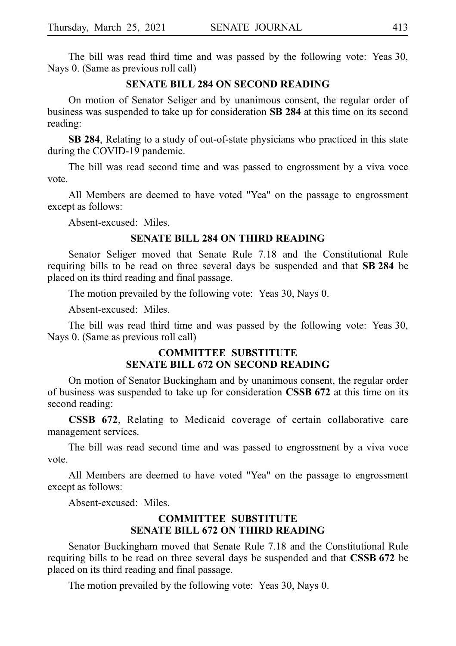The bill was read third time and was passed by the following vote: Yeas 30, Nays 0. (Same as previous roll call)

#### **SENATE BILL 284 ON SECOND READING**

On motion of Senator Seliger and by unanimous consent, the regular order of business was suspended to take up for consideration **SB 284** at this time on its second reading:

**SB 284**, Relating to a study of out-of-state physicians who practiced in this state during the COVID-19 pandemic.

The bill was read second time and was passed to engrossment by a viva voce vote.

All Members are deemed to have voted "Yea" on the passage to engrossment except as follows:

Absent-excused: Miles.

#### **SENATE BILL 284 ON THIRD READING**

Senator Seliger moved that Senate Rule 7.18 and the Constitutional Rule requiring bills to be read on three several days be suspended and that SB 284 be placed on its third reading and final passage.

The motion prevailed by the following vote: Yeas 30, Nays 0.

Absent-excused: Miles.

The bill was read third time and was passed by the following vote: Yeas 30, Nays 0. (Same as previous roll call)

# **COMMITTEE SUBSTITUTE SENATE BILL 672 ON SECOND READING**

On motion of Senator Buckingham and by unanimous consent, the regular order of business was suspended to take up for consideration **CSSBi672** at this time on its second reading:

**CSSB 672**, Relating to Medicaid coverage of certain collaborative care management services.

The bill was read second time and was passed to engrossment by a viva voce vote.

All Members are deemed to have voted "Yea" on the passage to engrossment except as follows:

Absent-excused: Miles.

### **COMMITTEE SUBSTITUTE SENATE BILL 672 ON THIRD READING**

Senator Buckingham moved that Senate Rule 7.18 and the Constitutional Rule requiring bills to be read on three several days be suspended and that **CSSB 672** be placed on its third reading and final passage.

The motion prevailed by the following vote: Yeas 30, Nays 0.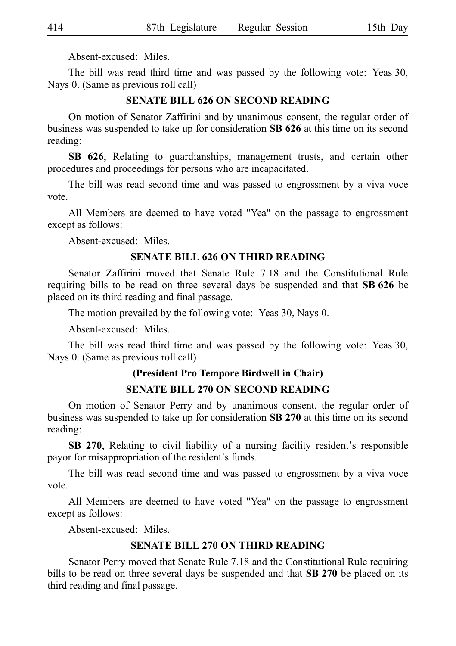Absent-excused: Miles.

The bill was read third time and was passed by the following vote: Yeas 30, Nays 0. (Same as previous roll call)

#### **SENATE BILL 626 ON SECOND READING**

On motion of Senator Zaffirini and by unanimous consent, the regular order of business was suspended to take up for consideration SB 626 at this time on its second reading:

**SB 626**, Relating to guardianships, management trusts, and certain other procedures and proceedings for persons who are incapacitated.

The bill was read second time and was passed to engrossment by a viva voce vote.

All Members are deemed to have voted "Yea" on the passage to engrossment except as follows:

Absent-excused: Miles.

#### **SENATE BILL 626 ON THIRD READING**

Senator Zaffirini moved that Senate Rule 7.18 and the Constitutional Rule requiring bills to be read on three several days be suspended and that **SB 626** be placed on its third reading and final passage.

The motion prevailed by the following vote: Yeas 30, Nays 0.

Absent-excused: Miles.

The bill was read third time and was passed by the following vote: Yeas 30, Nays 0. (Same as previous roll call)

# **(President Pro Tempore Birdwell in Chair)**

# **SENATE BILL 270 ON SECOND READING**

On motion of Senator Perry and by unanimous consent, the regular order of business was suspended to take up for consideration SB 270 at this time on its second reading:

**SB 270**, Relating to civil liability of a nursing facility resident's responsible payor for misappropriation of the resident's funds.

The bill was read second time and was passed to engrossment by a viva voce vote.

All Members are deemed to have voted "Yea" on the passage to engrossment except as follows:

Absent-excused: Miles.

#### **SENATE BILL 270 ON THIRD READING**

Senator Perry moved that Senate Rule 7.18 and the Constitutional Rule requiring bills to be read on three several days be suspended and that SB 270 be placed on its third reading and final passage.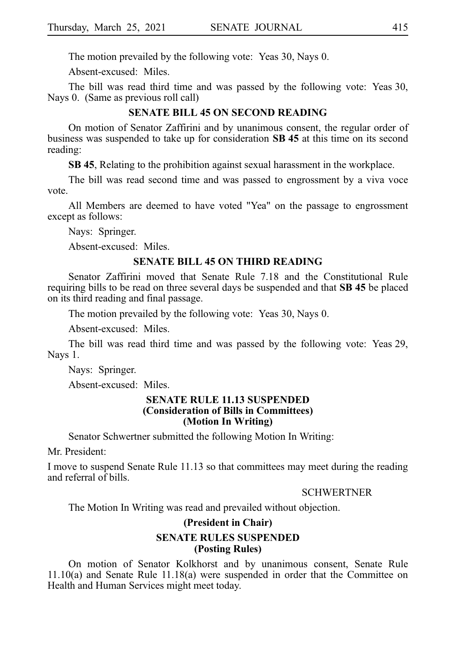The motion prevailed by the following vote: Yeas 30, Nays 0.

Absent-excused: Miles.

The bill was read third time and was passed by the following vote: Yeas 30, Nays 0. (Same as previous roll call)

#### **SENATE BILL 45 ON SECOND READING**

On motion of Senator Zaffirini and by unanimous consent, the regular order of business was suspended to take up for consideration **SBi45** at this time on its second reading:

**SB 45**, Relating to the prohibition against sexual harassment in the workplace.

The bill was read second time and was passed to engrossment by a viva voce vote.

All Members are deemed to have voted "Yea" on the passage to engrossment except as follows:

Nays: Springer.

Absent-excused: Miles.

#### **SENATE BILL 45 ON THIRD READING**

Senator Zaffirini moved that Senate Rule 7.18 and the Constitutional Rule requiring bills to be read on three several days be suspended and that **SB 45** be placed on its third reading and final passage.

The motion prevailed by the following vote: Yeas 30, Nays 0.

Absent-excused: Miles.

The bill was read third time and was passed by the following vote: Yeas 29, Nays 1.

Nays: Springer.

Absent-excused: Miles.

#### **SENATE RULE 11.13 SUSPENDED (Consideration of Bills in Committees) (Motion In Writing)**

Senator Schwertner submitted the following Motion In Writing:

Mr. President:

I move to suspend Senate Rule 11.13 so that committees may meet during the reading and referral of bills.

SCHWERTNER

The Motion In Writing was read and prevailed without objection.

# **(President in Chair) SENATE RULES SUSPENDED (Posting Rules)**

On motion of Senator Kolkhorst and by unanimous consent, Senate Rule 11.10(a) and Senate Rule 11.18(a) were suspended in order that the Committee on Health and Human Services might meet today.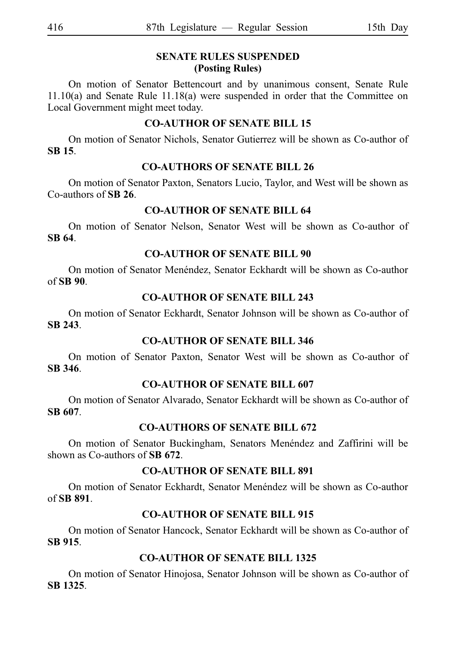# **SENATE RULES SUSPENDED (Posting Rules)**

On motion of Senator Bettencourt and by unanimous consent, Senate Rule 11.10(a) and Senate Rule 11.18(a) were suspended in order that the Committee on Local Government might meet today.

# **CO-AUTHOR OF SENATE BILL 15**

On motion of Senator Nichols, Senator Gutierrez will be shown as Co-author of **SBi15**.

# **CO-AUTHORS OF SENATE BILL 26**

On motion of Senator Paxton, Senators Lucio, Taylor, and West will be shown as Co-authors of **SBi26**.

# **CO-AUTHOR OF SENATE BILL 64**

On motion of Senator Nelson, Senator West will be shown as Co-author of **SBi64**.

# **CO-AUTHOR OF SENATE BILL 90**

On motion of Senator Menéndez, Senator Eckhardt will be shown as Co-author of **SBi90**.

# **CO-AUTHOR OF SENATE BILL 243**

On motion of Senator Eckhardt, Senator Johnson will be shown as Co-author of **SBi243**.

# **CO-AUTHOR OF SENATE BILL 346**

On motion of Senator Paxton, Senator West will be shown as Co-author of **SBi346**.

# **CO-AUTHOR OF SENATE BILL 607**

On motion of Senator Alvarado, Senator Eckhardt will be shown as Co-author of **SBi607**.

# **CO-AUTHORS OF SENATE BILL 672**

On motion of Senator Buckingham, Senators Menéndez and Zaffirini will be shown as Co-authors of SB 672.

# **CO-AUTHOR OF SENATE BILL 891**

On motion of Senator Eckhardt, Senator Menéndez will be shown as Co-author of **SBi891**.

# **CO-AUTHOR OF SENATE BILL 915**

On motion of Senator Hancock, Senator Eckhardt will be shown as Co-author of **SBi915**.

# **CO-AUTHOR OF SENATE BILL 1325**

On motion of Senator Hinojosa, Senator Johnson will be shown as Co-author of **SBi1325**.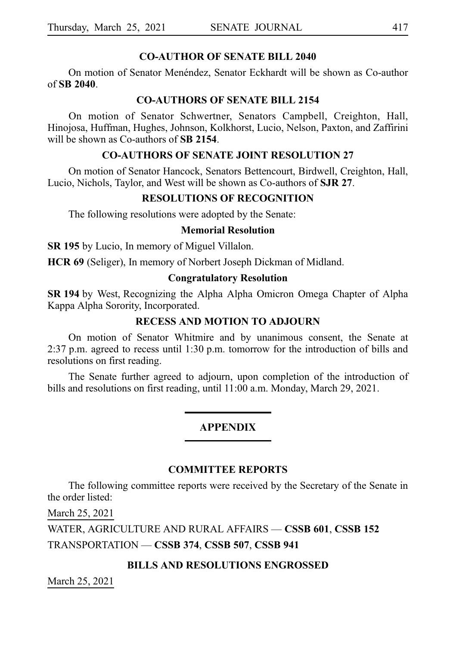#### **CO-AUTHOR OF SENATE BILL 2040**

On motion of Senator Menéndez, Senator Eckhardt will be shown as Co-author of **SBi2040**.

#### **CO-AUTHORS OF SENATE BILL 2154**

On motion of Senator Schwertner, Senators Campbell, Creighton, Hall, Hinojosa, Huffman, Hughes, Johnson, Kolkhorst, Lucio, Nelson, Paxton, and Zaffirini will be shown as Co-authors of **SB 2154**.

#### **CO-AUTHORS OF SENATE JOINT RESOLUTION 27**

On motion of Senator Hancock, Senators Bettencourt, Birdwell, Creighton, Hall, Lucio, Nichols, Taylor, and West will be shown as Co-authors of **SJR 27**.

#### **RESOLUTIONS OF RECOGNITION**

The following resolutions were adopted by the Senate:

#### **Memorial Resolution**

**SR 195** by Lucio, In memory of Miguel Villalon.

**HCR 69** (Seliger), In memory of Norbert Joseph Dickman of Midland.

#### **Congratulatory Resolution**

**SR 194** by West, Recognizing the Alpha Alpha Omicron Omega Chapter of Alpha Kappa Alpha Sorority, Incorporated.

#### **RECESS AND MOTION TO ADJOURN**

On motion of Senator Whitmire and by unanimous consent, the Senate at 2:37 p.m. agreed to recess until 1:30 p.m. tomorrow for the introduction of bills and resolutions on first reading.

The Senate further agreed to adjourn, upon completion of the introduction of bills and resolutions on first reading, until 11:00 a.m. Monday, March 29, 2021.

#### **APPENDIX**

#### **COMMITTEE REPORTS**

The following committee reports were received by the Secretary of the Senate in the order listed:

March 25, 2021

WATER, AGRICULTURE AND RURAL AFFAIRS — **CSSB**i**601**, **CSSB**i**152** TRANSPORTATION — **CSSB**i**374**, **CSSB**i**507**, **CSSB**i**941**

#### **BILLS AND RESOLUTIONS ENGROSSED**

March 25, 2021